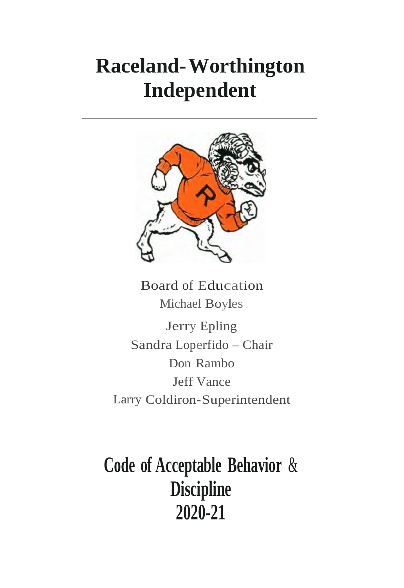# **Raceland-Worthington Independent**



Board of Education Michael Boyles

Jerry Epling Sandra Loperfido – Chair Don Rambo Jeff Vance Larry Coldiron-Superintendent

**Code of Acceptable Behavior** & **Discipline 2020-21**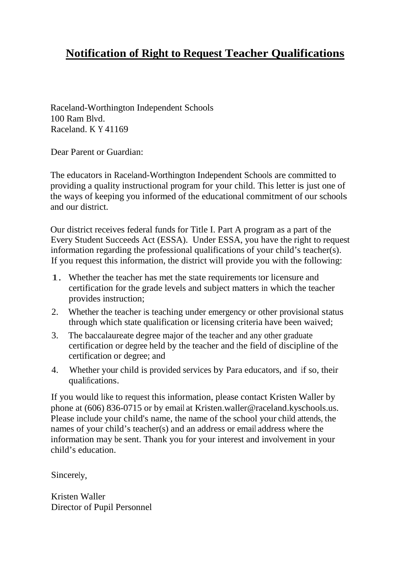## **Notification of Right to Request Teacher Qualifications**

Raceland-Worthington Independent Schools 100 Ram Blvd. Raceland. K Y 41169

Dear Parent or Guardian:

The educators in Raceland-Worthington Independent Schools are committed to providing a quality instructional program for your child. This letter is just one of the ways of keeping you informed of the educational commitment of our schools and our district.

Our district receives federal funds for Title I. Part A program as a part of the Every Student Succeeds Act (ESSA). Under ESSA, you have the right to request information regarding the professional qualifications of your child's teacher(s). If you request this information, the district will provide you with the following:

- 1. Whether the teacher has met the state requirements tor licensure and certification for the grade levels and subject matters in which the teacher provides instruction;
- 2. Whether the teacher is teaching under emergency or other provisional status through which state qualification or licensing criteria have been waived;
- 3. The baccalaureate degree major of the teacher and any other graduate certification or degree held by the teacher and the field of discipline of the certification or degree; and
- 4. Whether your child is provided services by Para educators, and if so, their qualifications.

If you would like to request this information, please contact Kristen Waller by phone at (606) 836-0715 or by email at Kristen.waller@raceland.kyschools.us. Please include your child's name, the name of the school your child attends, the names of your child's teacher(s) and an address or email address where the information may be sent. Thank you for your interest and involvement in your child's education.

Sincerely,

Kristen Waller Director of Pupil Personnel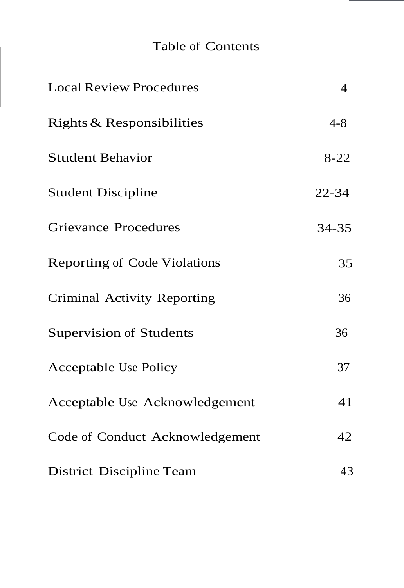# Table of Contents

| <b>Local Review Procedures</b>      | $\overline{4}$ |
|-------------------------------------|----------------|
| Rights & Responsibilities           | $4 - 8$        |
| <b>Student Behavior</b>             | $8 - 22$       |
| <b>Student Discipline</b>           | $22 - 34$      |
| <b>Grievance Procedures</b>         | 34-35          |
| <b>Reporting of Code Violations</b> | 35             |
| Criminal Activity Reporting         | 36             |
| Supervision of Students             | 36             |
| <b>Acceptable Use Policy</b>        | 37             |
| Acceptable Use Acknowledgement      | 41             |
| Code of Conduct Acknowledgement     | 42             |
| District Discipline Team            | 43             |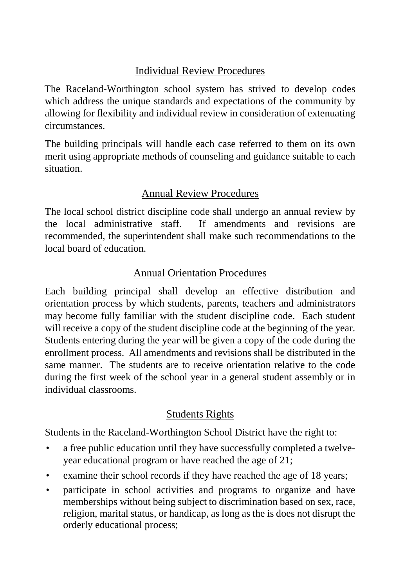# Individual Review Procedures

The Raceland-Worthington school system has strived to develop codes which address the unique standards and expectations of the community by allowing for flexibility and individual review in consideration of extenuating circumstances.

The building principals will handle each case referred to them on its own merit using appropriate methods of counseling and guidance suitable to each situation.

## Annual Review Procedures

The local school district discipline code shall undergo an annual review by the local administrative staff. If amendments and revisions are recommended, the superintendent shall make such recommendations to the local board of education.

## Annual Orientation Procedures

Each building principal shall develop an effective distribution and orientation process by which students, parents, teachers and administrators may become fully familiar with the student discipline code. Each student will receive a copy of the student discipline code at the beginning of the year. Students entering during the year will be given a copy of the code during the enrollment process. All amendments and revisions shall be distributed in the same manner. The students are to receive orientation relative to the code during the first week of the school year in a general student assembly or in individual classrooms.

## Students Rights

Students in the Raceland-Worthington School District have the right to:

- a free public education until they have successfully completed a twelveyear educational program or have reached the age of 21;
- examine their school records if they have reached the age of 18 years;
- participate in school activities and programs to organize and have memberships without being subject to discrimination based on sex, race, religion, marital status, or handicap, as long as the is does not disrupt the orderly educational process;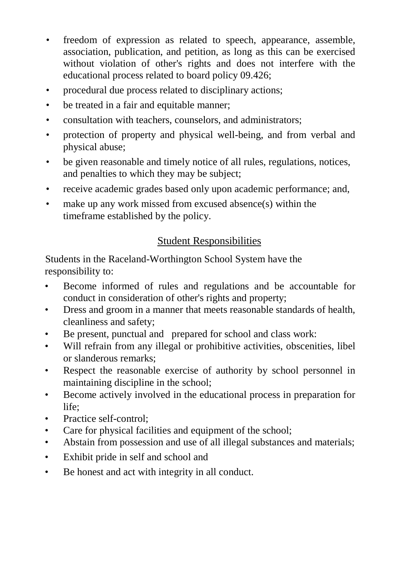- freedom of expression as related to speech, appearance, assemble, association, publication, and petition, as long as this can be exercised without violation of other's rights and does not interfere with the educational process related to board policy 09.426;
- procedural due process related to disciplinary actions;
- be treated in a fair and equitable manner;
- consultation with teachers, counselors, and administrators;
- protection of property and physical well-being, and from verbal and physical abuse;
- be given reasonable and timely notice of all rules, regulations, notices, and penalties to which they may be subject;
- receive academic grades based only upon academic performance; and,
- make up any work missed from excused absence(s) within the timeframe established by the policy.

## Student Responsibilities

Students in the Raceland-Worthington School System have the responsibility to:

- Become informed of rules and regulations and be accountable for conduct in consideration of other's rights and property;
- Dress and groom in a manner that meets reasonable standards of health, cleanliness and safety;
- Be present, punctual and prepared for school and class work:
- Will refrain from any illegal or prohibitive activities, obscenities, libel or slanderous remarks;
- Respect the reasonable exercise of authority by school personnel in maintaining discipline in the school;
- Become actively involved in the educational process in preparation for life;
- Practice self-control:
- Care for physical facilities and equipment of the school;
- Abstain from possession and use of all illegal substances and materials;
- Exhibit pride in self and school and
- Be honest and act with integrity in all conduct.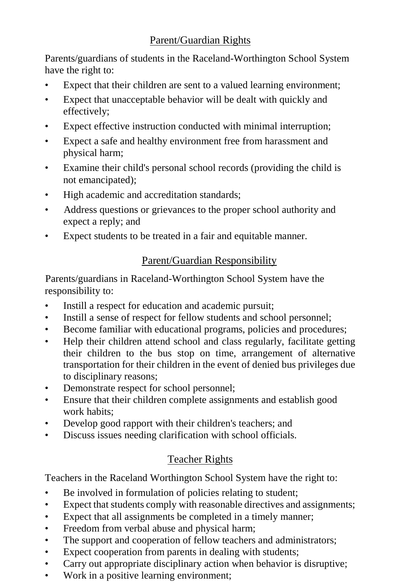Parents/guardians of students in the Raceland-Worthington School System have the right to:

- Expect that their children are sent to a valued learning environment;
- Expect that unacceptable behavior will be dealt with quickly and effectively;
- Expect effective instruction conducted with minimal interruption;
- Expect a safe and healthy environment free from harassment and physical harm;
- Examine their child's personal school records (providing the child is not emancipated);
- High academic and accreditation standards;
- Address questions or grievances to the proper school authority and expect a reply; and
- Expect students to be treated in a fair and equitable manner.

## Parent/Guardian Responsibility

Parents/guardians in Raceland-Worthington School System have the responsibility to:

- Instill a respect for education and academic pursuit;
- Instill a sense of respect for fellow students and school personnel;
- Become familiar with educational programs, policies and procedures;
- Help their children attend school and class regularly, facilitate getting their children to the bus stop on time, arrangement of alternative transportation for their children in the event of denied bus privileges due to disciplinary reasons;
- Demonstrate respect for school personnel;
- Ensure that their children complete assignments and establish good work habits;
- Develop good rapport with their children's teachers; and
- Discuss issues needing clarification with school officials.

# Teacher Rights

Teachers in the Raceland Worthington School System have the right to:

- Be involved in formulation of policies relating to student;
- Expect that students comply with reasonable directives and assignments;
- Expect that all assignments be completed in a timely manner;
- Freedom from verbal abuse and physical harm;
- The support and cooperation of fellow teachers and administrators;
- Expect cooperation from parents in dealing with students;
- Carry out appropriate disciplinary action when behavior is disruptive;
- Work in a positive learning environment;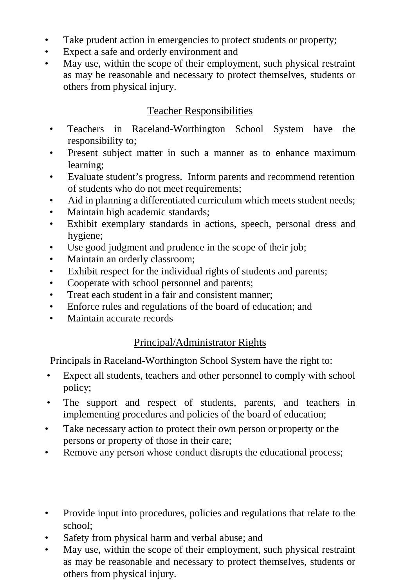- Take prudent action in emergencies to protect students or property;
- Expect a safe and orderly environment and
- May use, within the scope of their employment, such physical restraint as may be reasonable and necessary to protect themselves, students or others from physical injury.

## Teacher Responsibilities

- Teachers in Raceland-Worthington School System have the responsibility to;
- Present subject matter in such a manner as to enhance maximum learning;
- Evaluate student's progress. Inform parents and recommend retention of students who do not meet requirements;
- Aid in planning a differentiated curriculum which meets student needs;
- Maintain high academic standards;
- Exhibit exemplary standards in actions, speech, personal dress and hygiene;
- Use good judgment and prudence in the scope of their job;
- Maintain an orderly classroom;
- Exhibit respect for the individual rights of students and parents;
- Cooperate with school personnel and parents;
- Treat each student in a fair and consistent manner;
- Enforce rules and regulations of the board of education; and
- Maintain accurate records

## Principal/Administrator Rights

Principals in Raceland-Worthington School System have the right to:

- Expect all students, teachers and other personnel to comply with school policy;
- The support and respect of students, parents, and teachers in implementing procedures and policies of the board of education;
- Take necessary action to protect their own person or property or the persons or property of those in their care;
- Remove any person whose conduct disrupts the educational process;
- Provide input into procedures, policies and regulations that relate to the school;
- Safety from physical harm and verbal abuse; and
- May use, within the scope of their employment, such physical restraint as may be reasonable and necessary to protect themselves, students or others from physical injury.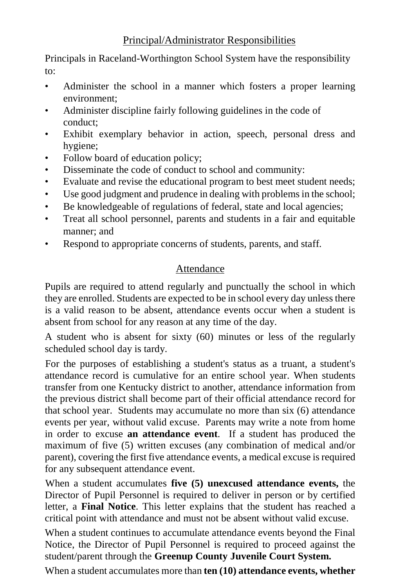Principals in Raceland-Worthington School System have the responsibility to:

- Administer the school in a manner which fosters a proper learning environment;
- Administer discipline fairly following guidelines in the code of conduct;
- Exhibit exemplary behavior in action, speech, personal dress and hygiene;
- Follow board of education policy;
- Disseminate the code of conduct to school and community:
- Evaluate and revise the educational program to best meet student needs;
- Use good judgment and prudence in dealing with problems in the school;
- Be knowledgeable of regulations of federal, state and local agencies;
- Treat all school personnel, parents and students in a fair and equitable manner; and
- Respond to appropriate concerns of students, parents, and staff.

# Attendance

Pupils are required to attend regularly and punctually the school in which they are enrolled. Students are expected to be in school every day unless there is a valid reason to be absent, attendance events occur when a student is absent from school for any reason at any time of the day.

A student who is absent for sixty (60) minutes or less of the regularly scheduled school day is tardy.

For the purposes of establishing a student's status as a truant, a student's attendance record is cumulative for an entire school year. When students transfer from one Kentucky district to another, attendance information from the previous district shall become part of their official attendance record for that school year. Students may accumulate no more than six (6) attendance events per year, without valid excuse. Parents may write a note from home in order to excuse **an attendance event**. If a student has produced the maximum of five (5) written excuses (any combination of medical and/or parent), covering the first five attendance events, a medical excuse is required for any subsequent attendance event.

When a student accumulates **five (5) unexcused attendance events,** the Director of Pupil Personnel is required to deliver in person or by certified letter, a **Final Notice**. This letter explains that the student has reached a critical point with attendance and must not be absent without valid excuse.

When a student continues to accumulate attendance events beyond the Final Notice, the Director of Pupil Personnel is required to proceed against the student/parent through the **Greenup County Juvenile Court System.**

When a student accumulates more than **ten (10) attendance events, whether**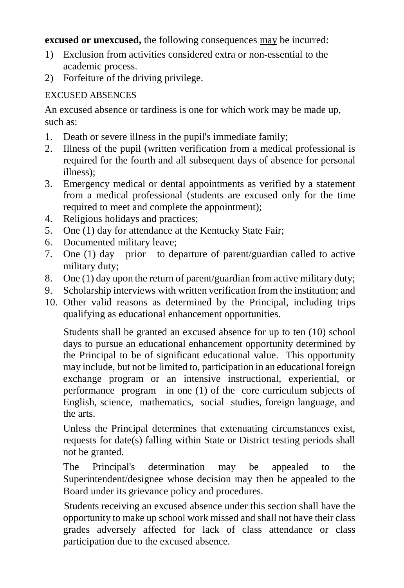**excused or unexcused,** the following consequences may be incurred:

- 1) Exclusion from activities considered extra or non-essential to the academic process.
- 2) Forfeiture of the driving privilege.

## EXCUSED ABSENCES

An excused absence or tardiness is one for which work may be made up, such as:

- 1. Death or severe illness in the pupil's immediate family;
- 2. Illness of the pupil (written verification from a medical professional is required for the fourth and all subsequent days of absence for personal illness);
- 3. Emergency medical or dental appointments as verified by a statement from a medical professional (students are excused only for the time required to meet and complete the appointment):
- 4. Religious holidays and practices;
- 5. One (1) day for attendance at the Kentucky State Fair;
- 6. Documented military leave;
- 7. One (1) day prior to departure of parent/guardian called to active military duty;
- 8. One (1) day upon the return of parent/guardian from active military duty;
- 9. Scholarship interviews with written verification from the institution; and
- 10. Other valid reasons as determined by the Principal, including trips qualifying as educational enhancement opportunities.

Students shall be granted an excused absence for up to ten (10) school days to pursue an educational enhancement opportunity determined by the Principal to be of significant educational value. This opportunity may include, but not be limited to, participation in an educational foreign exchange program or an intensive instructional, experiential, or performance program in one (1) of the core curriculum subjects of English, science, mathematics, social studies, foreign language, and the arts.

Unless the Principal determines that extenuating circumstances exist, requests for date(s) falling within State or District testing periods shall not be granted.

The Principal's determination may be appealed to the Superintendent/designee whose decision may then be appealed to the Board under its grievance policy and procedures.

Students receiving an excused absence under this section shall have the opportunity to make up school work missed and shall not have their class grades adversely affected for lack of class attendance or class participation due to the excused absence.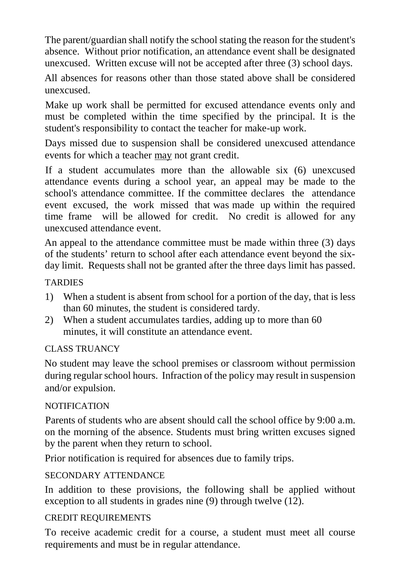The parent/guardian shall notify the school stating the reason for the student's absence. Without prior notification, an attendance event shall be designated unexcused. Written excuse will not be accepted after three (3) school days.

All absences for reasons other than those stated above shall be considered unexcused.

Make up work shall be permitted for excused attendance events only and must be completed within the time specified by the principal. It is the student's responsibility to contact the teacher for make-up work.

Days missed due to suspension shall be considered unexcused attendance events for which a teacher may not grant credit.

If a student accumulates more than the allowable six (6) unexcused attendance events during a school year, an appeal may be made to the school's attendance committee. If the committee declares the attendance event excused, the work missed that was made up within the required time frame will be allowed for credit. No credit is allowed for any unexcused attendance event.

An appeal to the attendance committee must be made within three (3) days of the students' return to school after each attendance event beyond the sixday limit. Requests shall not be granted after the three days limit has passed.

#### **TARDIES**

- 1) When a student is absent from school for a portion of the day, that is less than 60 minutes, the student is considered tardy.
- 2) When a student accumulates tardies, adding up to more than 60 minutes, it will constitute an attendance event.

## CLASS TRUANCY

No student may leave the school premises or classroom without permission during regular school hours. Infraction of the policy may result in suspension and/or expulsion.

## **NOTIFICATION**

Parents of students who are absent should call the school office by 9:00 a.m. on the morning of the absence. Students must bring written excuses signed by the parent when they return to school.

Prior notification is required for absences due to family trips.

## SECONDARY ATTENDANCE

In addition to these provisions, the following shall be applied without exception to all students in grades nine (9) through twelve (12).

## CREDIT REQUIREMENTS

To receive academic credit for a course, a student must meet all course requirements and must be in regular attendance.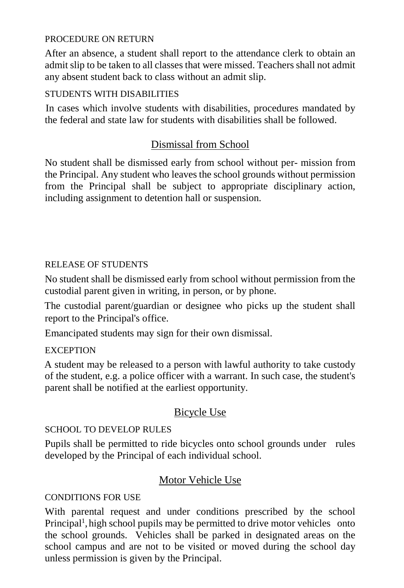#### PROCEDURE ON RETURN

After an absence, a student shall report to the attendance clerk to obtain an admit slip to be taken to all classes that were missed. Teachers shall not admit any absent student back to class without an admit slip.

#### STUDENTS WITH DISABILITIES

In cases which involve students with disabilities, procedures mandated by the federal and state law for students with disabilities shall be followed.

## Dismissal from School

No student shall be dismissed early from school without per- mission from the Principal. Any student who leaves the school grounds without permission from the Principal shall be subject to appropriate disciplinary action, including assignment to detention hall or suspension.

#### RELEASE OF STUDENTS

No student shall be dismissed early from school without permission from the custodial parent given in writing, in person, or by phone.

The custodial parent/guardian or designee who picks up the student shall report to the Principal's office.

Emancipated students may sign for their own dismissal.

#### **EXCEPTION**

A student may be released to a person with lawful authority to take custody of the student, e.g. a police officer with a warrant. In such case, the student's parent shall be notified at the earliest opportunity.

## Bicycle Use

## SCHOOL TO DEVELOP RULES

Pupils shall be permitted to ride bicycles onto school grounds under rules developed by the Principal of each individual school.

## Motor Vehicle Use

#### CONDITIONS FOR USE

With parental request and under conditions prescribed by the school Principal<sup>1</sup>, high school pupils may be permitted to drive motor vehicles onto the school grounds. Vehicles shall be parked in designated areas on the school campus and are not to be visited or moved during the school day unless permission is given by the Principal.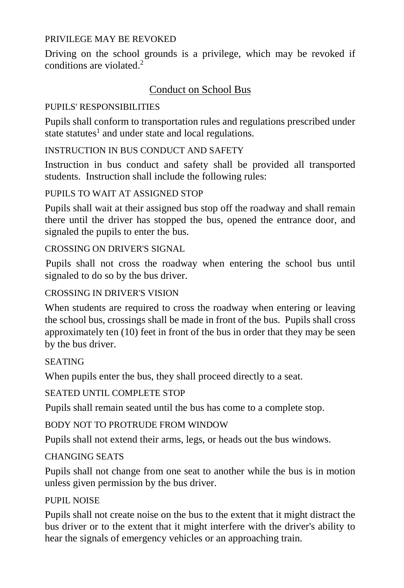#### PRIVILEGE MAY BE REVOKED

Driving on the school grounds is a privilege, which may be revoked if conditions are violated. 2

## Conduct on School Bus

#### PUPILS' RESPONSIBILITIES

Pupils shall conform to transportation rules and regulations prescribed under state statutes<sup>1</sup> and under state and local regulations.

#### INSTRUCTION IN BUS CONDUCT AND SAFETY

Instruction in bus conduct and safety shall be provided all transported students. Instruction shall include the following rules:

#### PUPILS TO WAIT AT ASSIGNED STOP

Pupils shall wait at their assigned bus stop off the roadway and shall remain there until the driver has stopped the bus, opened the entrance door, and signaled the pupils to enter the bus.

#### CROSSING ON DRIVER'S SIGNAL

Pupils shall not cross the roadway when entering the school bus until signaled to do so by the bus driver.

#### CROSSING IN DRIVER'S VISION

When students are required to cross the roadway when entering or leaving the school bus, crossings shall be made in front of the bus. Pupils shall cross approximately ten (10) feet in front of the bus in order that they may be seen by the bus driver.

## **SEATING**

When pupils enter the bus, they shall proceed directly to a seat.

#### SEATED UNTIL COMPLETE STOP

Pupils shall remain seated until the bus has come to a complete stop.

## BODY NOT TO PROTRUDE FROM WINDOW

Pupils shall not extend their arms, legs, or heads out the bus windows.

## CHANGING SEATS

Pupils shall not change from one seat to another while the bus is in motion unless given permission by the bus driver.

## PUPIL NOISE

Pupils shall not create noise on the bus to the extent that it might distract the bus driver or to the extent that it might interfere with the driver's ability to hear the signals of emergency vehicles or an approaching train.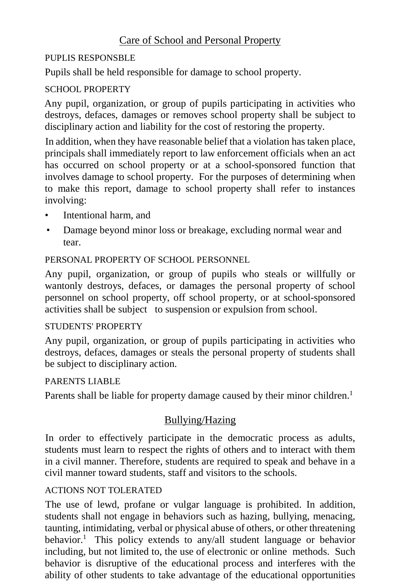## Care of School and Personal Property

## PUPLIS RESPONSBLE

Pupils shall be held responsible for damage to school property.

## SCHOOL PROPERTY

Any pupil, organization, or group of pupils participating in activities who destroys, defaces, damages or removes school property shall be subject to disciplinary action and liability for the cost of restoring the property.

In addition, when they have reasonable belief that a violation has taken place, principals shall immediately report to law enforcement officials when an act has occurred on school property or at a school-sponsored function that involves damage to school property. For the purposes of determining when to make this report, damage to school property shall refer to instances involving:

- Intentional harm, and
- Damage beyond minor loss or breakage, excluding normal wear and tear.

## PERSONAL PROPERTY OF SCHOOL PERSONNEL

Any pupil, organization, or group of pupils who steals or willfully or wantonly destroys, defaces, or damages the personal property of school personnel on school property, off school property, or at school-sponsored activities shall be subject to suspension or expulsion from school.

## STUDENTS' PROPERTY

Any pupil, organization, or group of pupils participating in activities who destroys, defaces, damages or steals the personal property of students shall be subject to disciplinary action.

## PARENTS LIABLE

Parents shall be liable for property damage caused by their minor children.<sup>1</sup>

# Bullying/Hazing

In order to effectively participate in the democratic process as adults, students must learn to respect the rights of others and to interact with them in a civil manner. Therefore, students are required to speak and behave in a civil manner toward students, staff and visitors to the schools.

## ACTIONS NOT TOLERATED

The use of lewd, profane or vulgar language is prohibited. In addition, students shall not engage in behaviors such as hazing, bullying, menacing, taunting, intimidating, verbal or physical abuse of others, or other threatening behavior. <sup>1</sup> This policy extends to any/all student language or behavior including, but not limited to, the use of electronic or online methods. Such behavior is disruptive of the educational process and interferes with the ability of other students to take advantage of the educational opportunities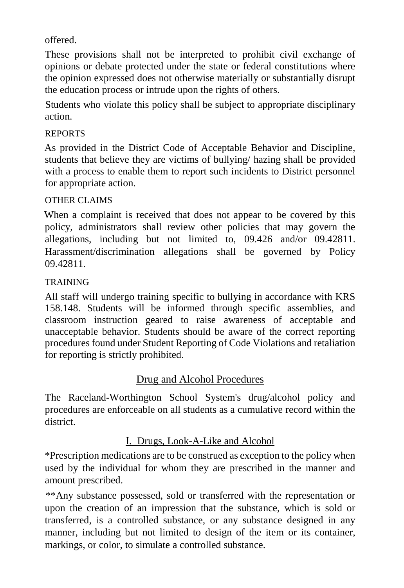offered.

These provisions shall not be interpreted to prohibit civil exchange of opinions or debate protected under the state or federal constitutions where the opinion expressed does not otherwise materially or substantially disrupt the education process or intrude upon the rights of others.

Students who violate this policy shall be subject to appropriate disciplinary action.

## REPORTS

As provided in the District Code of Acceptable Behavior and Discipline, students that believe they are victims of bullying/ hazing shall be provided with a process to enable them to report such incidents to District personnel for appropriate action.

## OTHER CLAIMS

When a complaint is received that does not appear to be covered by this policy, administrators shall review other policies that may govern the allegations, including but not limited to, 09.426 and/or 09.42811. Harassment/discrimination allegations shall be governed by Policy 09.42811.

## TRAINING

All staff will undergo training specific to bullying in accordance with KRS 158.148. Students will be informed through specific assemblies, and classroom instruction geared to raise awareness of acceptable and unacceptable behavior. Students should be aware of the correct reporting procedures found under Student Reporting of Code Violations and retaliation for reporting is strictly prohibited.

## Drug and Alcohol Procedures

The Raceland-Worthington School System's drug/alcohol policy and procedures are enforceable on all students as a cumulative record within the district.

## I. Drugs, Look-A-Like and Alcohol

\*Prescription medications are to be construed as exception to the policy when used by the individual for whom they are prescribed in the manner and amount prescribed.

\*\*Any substance possessed, sold or transferred with the representation or upon the creation of an impression that the substance, which is sold or transferred, is a controlled substance, or any substance designed in any manner, including but not limited to design of the item or its container, markings, or color, to simulate a controlled substance.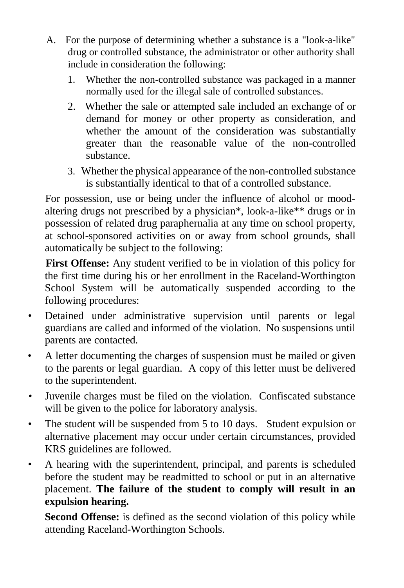- A. For the purpose of determining whether a substance is a "look-a-like" drug or controlled substance, the administrator or other authority shall include in consideration the following:
	- 1. Whether the non-controlled substance was packaged in a manner normally used for the illegal sale of controlled substances.
	- 2. Whether the sale or attempted sale included an exchange of or demand for money or other property as consideration, and whether the amount of the consideration was substantially greater than the reasonable value of the non-controlled substance.
	- 3. Whether the physical appearance of the non-controlled substance is substantially identical to that of a controlled substance.

For possession, use or being under the influence of alcohol or moodaltering drugs not prescribed by a physician\*, look-a-like\*\* drugs or in possession of related drug paraphernalia at any time on school property, at school-sponsored activities on or away from school grounds, shall automatically be subject to the following:

**First Offense:** Any student verified to be in violation of this policy for the first time during his or her enrollment in the Raceland-Worthington School System will be automatically suspended according to the following procedures:

- Detained under administrative supervision until parents or legal guardians are called and informed of the violation. No suspensions until parents are contacted.
- A letter documenting the charges of suspension must be mailed or given to the parents or legal guardian. A copy of this letter must be delivered to the superintendent.
- Juvenile charges must be filed on the violation. Confiscated substance will be given to the police for laboratory analysis.
- The student will be suspended from 5 to 10 days. Student expulsion or alternative placement may occur under certain circumstances, provided KRS guidelines are followed.
- A hearing with the superintendent, principal, and parents is scheduled before the student may be readmitted to school or put in an alternative placement. **The failure of the student to comply will result in an expulsion hearing.**

**Second Offense:** is defined as the second violation of this policy while attending Raceland-Worthington Schools.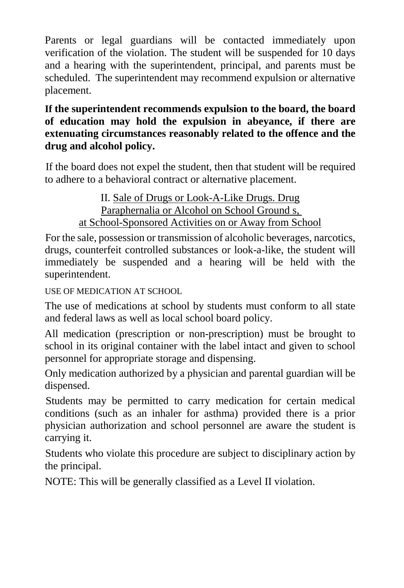Parents or legal guardians will be contacted immediately upon verification of the violation. The student will be suspended for 10 days and a hearing with the superintendent, principal, and parents must be scheduled. The superintendent may recommend expulsion or alternative placement.

## **If the superintendent recommends expulsion to the board, the board of education may hold the expulsion in abeyance, if there are extenuating circumstances reasonably related to the offence and the drug and alcohol policy.**

If the board does not expel the student, then that student will be required to adhere to a behavioral contract or alternative placement.

> II. Sale of Drugs or Look-A-Like Drugs. Drug Paraphernalia or Alcohol on School Ground s, at School-Sponsored Activities on or Away from School

For the sale, possession or transmission of alcoholic beverages, narcotics, drugs, counterfeit controlled substances or look-a-like, the student will immediately be suspended and a hearing will be held with the superintendent.

USE OF MEDICATION AT SCHOOL

The use of medications at school by students must conform to all state and federal laws as well as local school board policy.

All medication (prescription or non-prescription) must be brought to school in its original container with the label intact and given to school personnel for appropriate storage and dispensing.

Only medication authorized by a physician and parental guardian will be dispensed.

Students may be permitted to carry medication for certain medical conditions (such as an inhaler for asthma) provided there is a prior physician authorization and school personnel are aware the student is carrying it.

Students who violate this procedure are subject to disciplinary action by the principal.

NOTE: This will be generally classified as a Level II violation.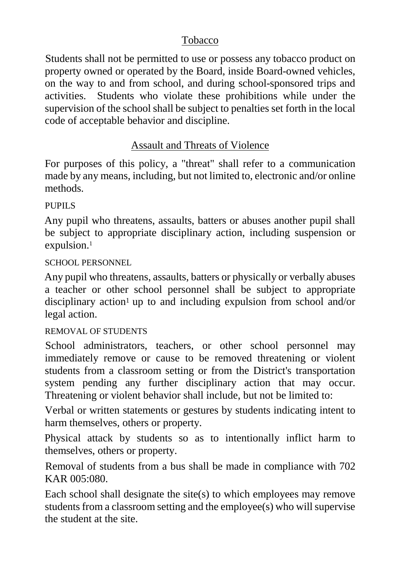## Tobacco

Students shall not be permitted to use or possess any tobacco product on property owned or operated by the Board, inside Board-owned vehicles, on the way to and from school, and during school-sponsored trips and activities. Students who violate these prohibitions while under the supervision of the school shall be subject to penalties set forth in the local code of acceptable behavior and discipline.

## Assault and Threats of Violence

For purposes of this policy, a "threat" shall refer to a communication made by any means, including, but not limited to, electronic and/or online methods.

## PUPILS

Any pupil who threatens, assaults, batters or abuses another pupil shall be subject to appropriate disciplinary action, including suspension or expulsion.<sup>1</sup>

## SCHOOL PERSONNEL

Any pupil who threatens, assaults, batters or physically or verbally abuses a teacher or other school personnel shall be subject to appropriate disciplinary action<sup>1</sup> up to and including expulsion from school and/or legal action.

## REMOVAL OF STUDENTS

School administrators, teachers, or other school personnel may immediately remove or cause to be removed threatening or violent students from a classroom setting or from the District's transportation system pending any further disciplinary action that may occur. Threatening or violent behavior shall include, but not be limited to:

Verbal or written statements or gestures by students indicating intent to harm themselves, others or property.

Physical attack by students so as to intentionally inflict harm to themselves, others or property.

Removal of students from a bus shall be made in compliance with 702 KAR 005:080.

Each school shall designate the site $(s)$  to which employees may remove students from a classroom setting and the employee(s) who will supervise the student at the site.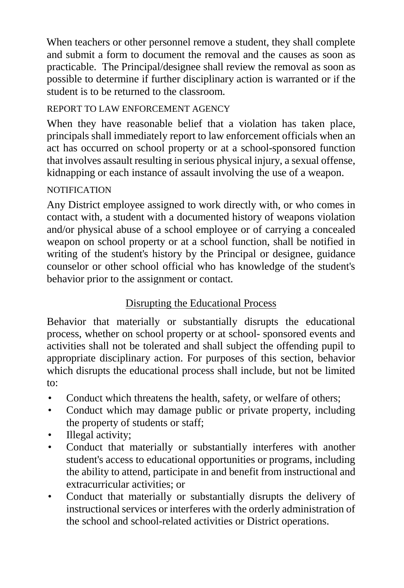When teachers or other personnel remove a student, they shall complete and submit a form to document the removal and the causes as soon as practicable. The Principal/designee shall review the removal as soon as possible to determine if further disciplinary action is warranted or if the student is to be returned to the classroom.

## REPORT TO LAW ENFORCEMENT AGENCY

When they have reasonable belief that a violation has taken place, principals shall immediately report to law enforcement officials when an act has occurred on school property or at a school-sponsored function that involves assault resulting in serious physical injury, a sexual offense, kidnapping or each instance of assault involving the use of a weapon.

## **NOTIFICATION**

Any District employee assigned to work directly with, or who comes in contact with, a student with a documented history of weapons violation and/or physical abuse of a school employee or of carrying a concealed weapon on school property or at a school function, shall be notified in writing of the student's history by the Principal or designee, guidance counselor or other school official who has knowledge of the student's behavior prior to the assignment or contact.

# Disrupting the Educational Process

Behavior that materially or substantially disrupts the educational process, whether on school property or at school- sponsored events and activities shall not be tolerated and shall subject the offending pupil to appropriate disciplinary action. For purposes of this section, behavior which disrupts the educational process shall include, but not be limited to:

- Conduct which threatens the health, safety, or welfare of others;
- Conduct which may damage public or private property, including the property of students or staff;
- Illegal activity;
- Conduct that materially or substantially interferes with another student's access to educational opportunities or programs, including the ability to attend, participate in and benefit from instructional and extracurricular activities; or
- Conduct that materially or substantially disrupts the delivery of instructional services or interferes with the orderly administration of the school and school-related activities or District operations.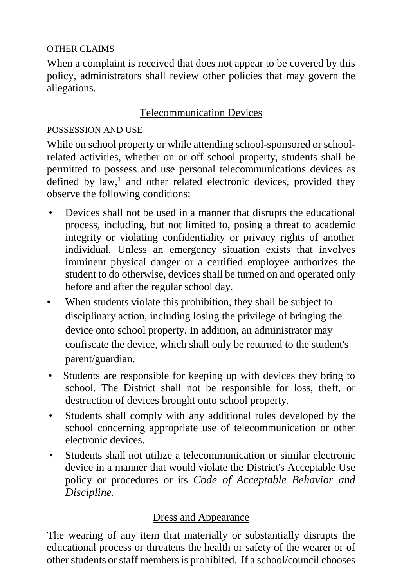## OTHER CLAIMS

When a complaint is received that does not appear to be covered by this policy, administrators shall review other policies that may govern the allegations.

## Telecommunication Devices

## POSSESSION AND USE

While on school property or while attending school-sponsored or schoolrelated activities, whether on or off school property, students shall be permitted to possess and use personal telecommunications devices as defined by  $law$ ,<sup>1</sup> and other related electronic devices, provided they observe the following conditions:

- Devices shall not be used in a manner that disrupts the educational process, including, but not limited to, posing a threat to academic integrity or violating confidentiality or privacy rights of another individual. Unless an emergency situation exists that involves imminent physical danger or a certified employee authorizes the student to do otherwise, devices shall be turned on and operated only before and after the regular school day.
- When students violate this prohibition, they shall be subject to disciplinary action, including losing the privilege of bringing the device onto school property. In addition, an administrator may confiscate the device, which shall only be returned to the student's parent/guardian.
- Students are responsible for keeping up with devices they bring to school. The District shall not be responsible for loss, theft, or destruction of devices brought onto school property.
- Students shall comply with any additional rules developed by the school concerning appropriate use of telecommunication or other electronic devices.
- Students shall not utilize a telecommunication or similar electronic device in a manner that would violate the District's Acceptable Use policy or procedures or its *Code of Acceptable Behavior and Discipline.*

## Dress and Appearance

The wearing of any item that materially or substantially disrupts the educational process or threatens the health or safety of the wearer or of other students or staff members is prohibited. If a school/council chooses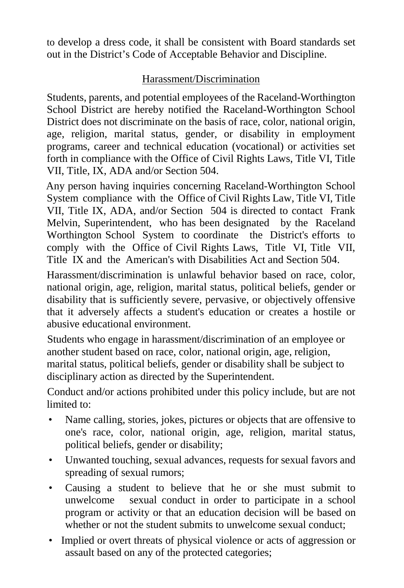to develop a dress code, it shall be consistent with Board standards set out in the District's Code of Acceptable Behavior and Discipline.

## Harassment/Discrimination

Students, parents, and potential employees of the Raceland-Worthington School District are hereby notified the Raceland-Worthington School District does not discriminate on the basis of race, color, national origin, age, religion, marital status, gender, or disability in employment programs, career and technical education (vocational) or activities set forth in compliance with the Office of Civil Rights Laws, Title VI, Title VII, Title, IX, ADA and/or Section 504.

Any person having inquiries concerning Raceland-Worthington School System compliance with the Office of Civil Rights Law, Title VI, Title VII, Title IX, ADA, and/or Section 504 is directed to contact Frank Melvin, Superintendent, who has been designated by the Raceland Worthington School System to coordinate the District's efforts to comply with the Office of Civil Rights Laws, Title VI, Title VII, Title IX and the American's with Disabilities Act and Section 504.

Harassment/discrimination is unlawful behavior based on race, color, national origin, age, religion, marital status, political beliefs, gender or disability that is sufficiently severe, pervasive, or objectively offensive that it adversely affects a student's education or creates a hostile or abusive educational environment.

Students who engage in harassment/discrimination of an employee or another student based on race, color, national origin, age, religion, marital status, political beliefs, gender or disability shall be subject to disciplinary action as directed by the Superintendent.

Conduct and/or actions prohibited under this policy include, but are not limited to:

- Name calling, stories, jokes, pictures or objects that are offensive to one's race, color, national origin, age, religion, marital status, political beliefs, gender or disability;
- Unwanted touching, sexual advances, requests for sexual favors and spreading of sexual rumors;
- Causing a student to believe that he or she must submit to unwelcome sexual conduct in order to participate in a school program or activity or that an education decision will be based on whether or not the student submits to unwelcome sexual conduct;
- Implied or overt threats of physical violence or acts of aggression or assault based on any of the protected categories;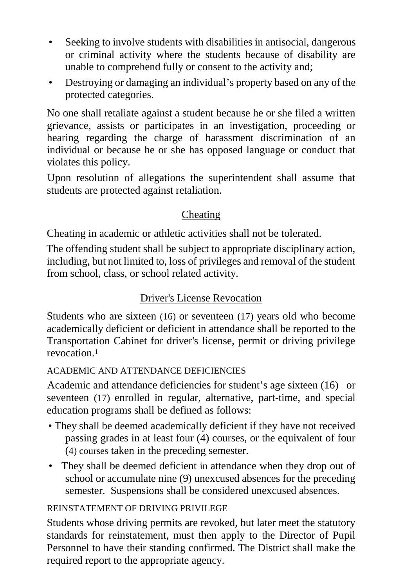- Seeking to involve students with disabilities in antisocial, dangerous or criminal activity where the students because of disability are unable to comprehend fully or consent to the activity and;
- Destroying or damaging an individual's property based on any of the protected categories.

No one shall retaliate against a student because he or she filed a written grievance, assists or participates in an investigation, proceeding or hearing regarding the charge of harassment discrimination of an individual or because he or she has opposed language or conduct that violates this policy.

Upon resolution of allegations the superintendent shall assume that students are protected against retaliation.

## Cheating

Cheating in academic or athletic activities shall not be tolerated.

The offending student shall be subject to appropriate disciplinary action, including, but not limited to, loss of privileges and removal of the student from school, class, or school related activity.

## Driver's License Revocation

Students who are sixteen (16) or seventeen (17) years old who become academically deficient or deficient in attendance shall be reported to the Transportation Cabinet for driver's license, permit or driving privilege revocation.1

## ACADEMIC AND ATTENDANCE DEFICIENCIES

Academic and attendance deficiencies for student's age sixteen (16) or seventeen (17) enrolled in regular, alternative, part-time, and special education programs shall be defined as follows:

- They shall be deemed academically deficient if they have not received passing grades in at least four (4) courses, or the equivalent of four (4) courses taken in the preceding semester.
- They shall be deemed deficient in attendance when they drop out of school or accumulate nine (9) unexcused absences for the preceding semester. Suspensions shall be considered unexcused absences.

## REINSTATEMENT OF DRIVING PRIVILEGE

Students whose driving permits are revoked, but later meet the statutory standards for reinstatement, must then apply to the Director of Pupil Personnel to have their standing confirmed. The District shall make the required report to the appropriate agency.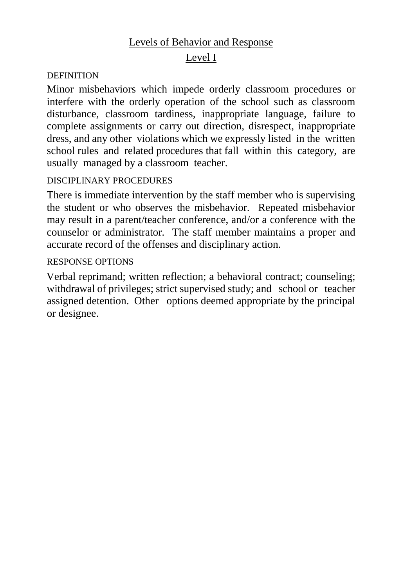## Levels of Behavior and Response

## Level I

#### **DEFINITION**

Minor misbehaviors which impede orderly classroom procedures or interfere with the orderly operation of the school such as classroom disturbance, classroom tardiness, inappropriate language, failure to complete assignments or carry out direction, disrespect, inappropriate dress, and any other violations which we expressly listed in the written school rules and related procedures that fall within this category, are usually managed by a classroom teacher.

#### DISCIPLINARY PROCEDURES

There is immediate intervention by the staff member who is supervising the student or who observes the misbehavior. Repeated misbehavior may result in a parent/teacher conference, and/or a conference with the counselor or administrator. The staff member maintains a proper and accurate record of the offenses and disciplinary action.

#### RESPONSE OPTIONS

Verbal reprimand; written reflection; a behavioral contract; counseling; withdrawal of privileges; strict supervised study; and school or teacher assigned detention. Other options deemed appropriate by the principal or designee.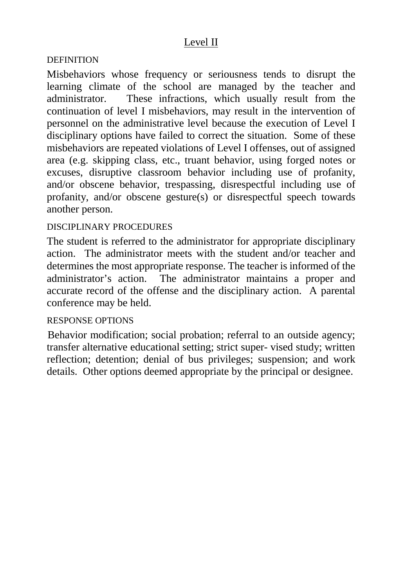## Level II

#### **DEFINITION**

Misbehaviors whose frequency or seriousness tends to disrupt the learning climate of the school are managed by the teacher and administrator. These infractions, which usually result from the continuation of level I misbehaviors, may result in the intervention of personnel on the administrative level because the execution of Level I disciplinary options have failed to correct the situation. Some of these misbehaviors are repeated violations of Level I offenses, out of assigned area (e.g. skipping class, etc., truant behavior, using forged notes or excuses, disruptive classroom behavior including use of profanity, and/or obscene behavior, trespassing, disrespectful including use of profanity, and/or obscene gesture(s) or disrespectful speech towards another person.

#### DISCIPLINARY PROCEDURES

The student is referred to the administrator for appropriate disciplinary action. The administrator meets with the student and/or teacher and determines the most appropriate response. The teacher is informed of the administrator's action. The administrator maintains a proper and accurate record of the offense and the disciplinary action. A parental conference may be held.

#### RESPONSE OPTIONS

Behavior modification; social probation; referral to an outside agency; transfer alternative educational setting; strict super- vised study; written reflection; detention; denial of bus privileges; suspension; and work details. Other options deemed appropriate by the principal or designee.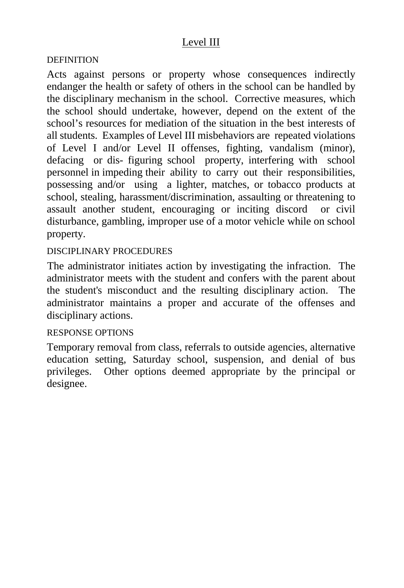## Level III

#### **DEFINITION**

Acts against persons or property whose consequences indirectly endanger the health or safety of others in the school can be handled by the disciplinary mechanism in the school. Corrective measures, which the school should undertake, however, depend on the extent of the school's resources for mediation of the situation in the best interests of all students. Examples of Level III misbehaviors are repeated violations of Level I and/or Level II offenses, fighting, vandalism (minor), defacing or dis- figuring school property, interfering with school personnel in impeding their ability to carry out their responsibilities, possessing and/or using a lighter, matches, or tobacco products at school, stealing, harassment/discrimination, assaulting or threatening to assault another student, encouraging or inciting discord or civil disturbance, gambling, improper use of a motor vehicle while on school property.

#### DISCIPLINARY PROCEDURES

The administrator initiates action by investigating the infraction. The administrator meets with the student and confers with the parent about the student's misconduct and the resulting disciplinary action. The administrator maintains a proper and accurate of the offenses and disciplinary actions.

#### RESPONSE OPTIONS

Temporary removal from class, referrals to outside agencies, alternative education setting, Saturday school, suspension, and denial of bus privileges. Other options deemed appropriate by the principal or designee.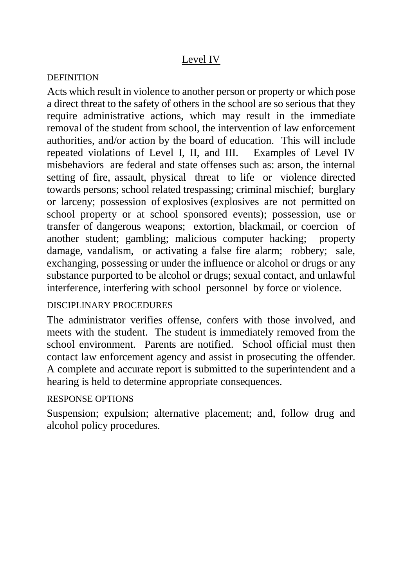## Level IV

## **DEFINITION**

Acts which result in violence to another person or property or which pose a direct threat to the safety of others in the school are so serious that they require administrative actions, which may result in the immediate removal of the student from school, the intervention of law enforcement authorities, and/or action by the board of education. This will include repeated violations of Level I, II, and III. Examples of Level IV misbehaviors are federal and state offenses such as: arson, the internal setting of fire, assault, physical threat to life or violence directed towards persons; school related trespassing; criminal mischief; burglary or larceny; possession of explosives (explosives are not permitted on school property or at school sponsored events); possession, use or transfer of dangerous weapons; extortion, blackmail, or coercion of another student; gambling; malicious computer hacking; property damage, vandalism, or activating a false fire alarm; robbery; sale, exchanging, possessing or under the influence or alcohol or drugs or any substance purported to be alcohol or drugs; sexual contact, and unlawful interference, interfering with school personnel by force or violence.

## DISCIPLINARY PROCEDURES

The administrator verifies offense, confers with those involved, and meets with the student. The student is immediately removed from the school environment. Parents are notified. School official must then contact law enforcement agency and assist in prosecuting the offender. A complete and accurate report is submitted to the superintendent and a hearing is held to determine appropriate consequences.

## RESPONSE OPTIONS

Suspension; expulsion; alternative placement; and, follow drug and alcohol policy procedures.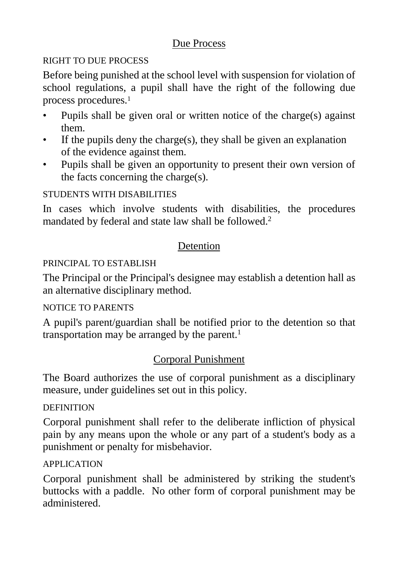## Due Process

## RIGHT TO DUE PROCESS

Before being punished at the school level with suspension for violation of school regulations, a pupil shall have the right of the following due process procedures.1

- Pupils shall be given oral or written notice of the charge(s) against them.
- If the pupils deny the charge(s), they shall be given an explanation of the evidence against them.
- Pupils shall be given an opportunity to present their own version of the facts concerning the charge(s).

## STUDENTS WITH DISABILITIES

In cases which involve students with disabilities, the procedures mandated by federal and state law shall be followed.2

## Detention

## PRINCIPAL TO ESTABLISH

The Principal or the Principal's designee may establish a detention hall as an alternative disciplinary method.

## NOTICE TO PARENTS

A pupil's parent/guardian shall be notified prior to the detention so that transportation may be arranged by the parent.<sup>1</sup>

## Corporal Punishment

The Board authorizes the use of corporal punishment as a disciplinary measure, under guidelines set out in this policy.

## **DEFINITION**

Corporal punishment shall refer to the deliberate infliction of physical pain by any means upon the whole or any part of a student's body as a punishment or penalty for misbehavior.

## APPLICATION

Corporal punishment shall be administered by striking the student's buttocks with a paddle. No other form of corporal punishment may be administered.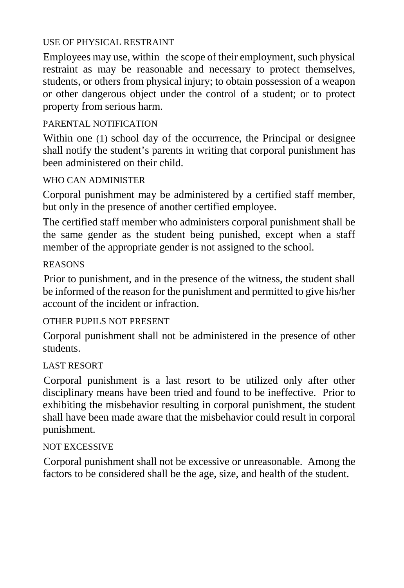#### USE OF PHYSICAL RESTRAINT

Employees may use, within the scope of their employment, such physical restraint as may be reasonable and necessary to protect themselves, students, or others from physical injury; to obtain possession of a weapon or other dangerous object under the control of a student; or to protect property from serious harm.

## PARENTAL NOTIFICATION

Within one (1) school day of the occurrence, the Principal or designee shall notify the student's parents in writing that corporal punishment has been administered on their child.

## WHO CAN ADMINISTER

Corporal punishment may be administered by a certified staff member, but only in the presence of another certified employee.

The certified staff member who administers corporal punishment shall be the same gender as the student being punished, except when a staff member of the appropriate gender is not assigned to the school.

## REASONS

Prior to punishment, and in the presence of the witness, the student shall be informed of the reason for the punishment and permitted to give his/her account of the incident or infraction.

## OTHER PUPILS NOT PRESENT

Corporal punishment shall not be administered in the presence of other students.

## LAST RESORT

Corporal punishment is a last resort to be utilized only after other disciplinary means have been tried and found to be ineffective. Prior to exhibiting the misbehavior resulting in corporal punishment, the student shall have been made aware that the misbehavior could result in corporal punishment.

## NOT EXCESSIVE

Corporal punishment shall not be excessive or unreasonable. Among the factors to be considered shall be the age, size, and health of the student.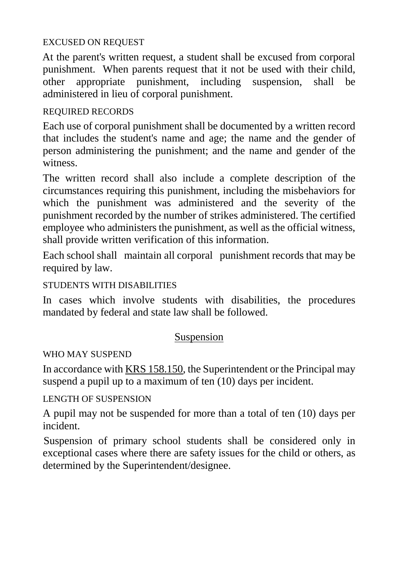#### EXCUSED ON REQUEST

At the parent's written request, a student shall be excused from corporal punishment. When parents request that it not be used with their child, other appropriate punishment, including suspension, shall be other appropriate punishment, including suspension, shall be administered in lieu of corporal punishment.

## REQUIRED RECORDS

Each use of corporal punishment shall be documented by a written record that includes the student's name and age; the name and the gender of person administering the punishment; and the name and gender of the witness.

The written record shall also include a complete description of the circumstances requiring this punishment, including the misbehaviors for which the punishment was administered and the severity of the punishment recorded by the number of strikes administered. The certified employee who administers the punishment, as well as the official witness, shall provide written verification of this information.

Each school shall maintain all corporal punishment records that may be required by law.

## STUDENTS WITH DISABILITIES

In cases which involve students with disabilities, the procedures mandated by federal and state law shall be followed.

## Suspension

## WHO MAY SUSPEND

In accordance with KRS 158.150, the Superintendent or the Principal may suspend a pupil up to a maximum of ten (10) days per incident.

LENGTH OF SUSPENSION

A pupil may not be suspended for more than a total of ten (10) days per incident.

Suspension of primary school students shall be considered only in exceptional cases where there are safety issues for the child or others, as determined by the Superintendent/designee.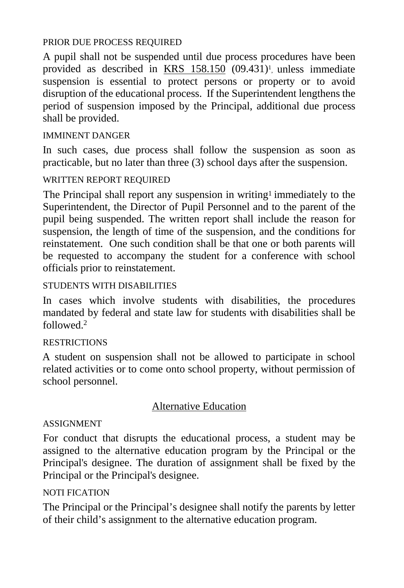#### PRIOR DUE PROCESS REQUIRED

A pupil shall not be suspended until due process procedures have been provided as described in KRS 158.150 (09.431)<sup>1</sup>, unless immediate suspension is essential to protect persons or property or to avoid disruption of the educational process. If the Superintendent lengthens the period of suspension imposed by the Principal, additional due process shall be provided.

## IMMINENT DANGER

In such cases, due process shall follow the suspension as soon as practicable, but no later than three (3) school days after the suspension.

## WRITTEN REPORT REQUIRED

The Principal shall report any suspension in writing1 immediately to the Superintendent, the Director of Pupil Personnel and to the parent of the pupil being suspended. The written report shall include the reason for suspension, the length of time of the suspension, and the conditions for reinstatement. One such condition shall be that one or both parents will be requested to accompany the student for a conference with school officials prior to reinstatement.

## STUDENTS WITH DISABILITIES

In cases which involve students with disabilities, the procedures mandated by federal and state law for students with disabilities shall be followed.2

## **RESTRICTIONS**

A student on suspension shall not be allowed to participate in school related activities or to come onto school property, without permission of school personnel.

## Alternative Education

## ASSIGNMENT

For conduct that disrupts the educational process, a student may be assigned to the alternative education program by the Principal or the Principal's designee. The duration of assignment shall be fixed by the Principal or the Principal's designee.

## NOTI FICATION

The Principal or the Principal's designee shall notify the parents by letter of their child's assignment to the alternative education program.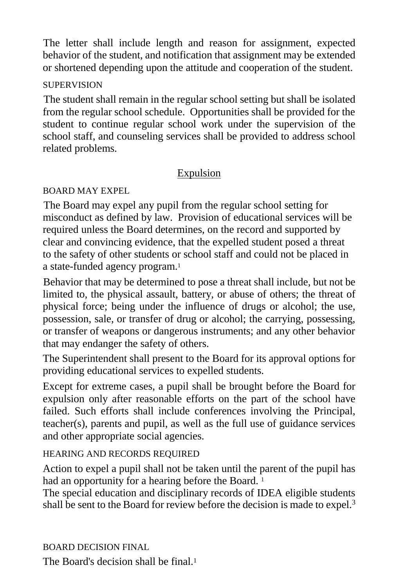The letter shall include length and reason for assignment, expected behavior of the student, and notification that assignment may be extended or shortened depending upon the attitude and cooperation of the student.

## **SUPERVISION**

The student shall remain in the regular school setting but shall be isolated from the regular school schedule. Opportunities shall be provided for the student to continue regular school work under the supervision of the school staff, and counseling services shall be provided to address school related problems.

## Expulsion

## BOARD MAY EXPEL

The Board may expel any pupil from the regular school setting for misconduct as defined by law. Provision of educational services will be required unless the Board determines, on the record and supported by clear and convincing evidence, that the expelled student posed a threat to the safety of other students or school staff and could not be placed in a state-funded agency program.1

Behavior that may be determined to pose a threat shall include, but not be limited to, the physical assault, battery, or abuse of others; the threat of physical force; being under the influence of drugs or alcohol; the use, possession, sale, or transfer of drug or alcohol; the carrying, possessing, or transfer of weapons or dangerous instruments; and any other behavior that may endanger the safety of others.

The Superintendent shall present to the Board for its approval options for providing educational services to expelled students.

Except for extreme cases, a pupil shall be brought before the Board for expulsion only after reasonable efforts on the part of the school have failed. Such efforts shall include conferences involving the Principal, teacher(s), parents and pupil, as well as the full use of guidance services and other appropriate social agencies.

## HEARING AND RECORDS REQUIRED

Action to expel a pupil shall not be taken until the parent of the pupil has had an opportunity for a hearing before the Board.<sup>1</sup>

The special education and disciplinary records of IDEA eligible students shall be sent to the Board for review before the decision is made to expel.<sup>3</sup>

BOARD DECISION FINAL

The Board's decision shall be final.<sup>1</sup>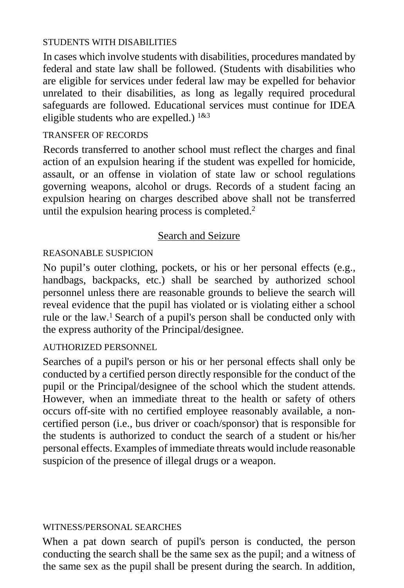#### STUDENTS WITH DISABILITIES

In cases which involve students with disabilities, procedures mandated by federal and state law shall be followed. (Students with disabilities who are eligible for services under federal law may be expelled for behavior unrelated to their disabilities, as long as legally required procedural safeguards are followed. Educational services must continue for IDEA eligible students who are expelled.)  $1\&3$ 

#### TRANSFER OF RECORDS

Records transferred to another school must reflect the charges and final action of an expulsion hearing if the student was expelled for homicide, assault, or an offense in violation of state law or school regulations governing weapons, alcohol or drugs. Records of a student facing an expulsion hearing on charges described above shall not be transferred until the expulsion hearing process is completed.<sup>2</sup>

## Search and Seizure

## REASONABLE SUSPICION

No pupil's outer clothing, pockets, or his or her personal effects (e.g., handbags, backpacks, etc.) shall be searched by authorized school personnel unless there are reasonable grounds to believe the search will reveal evidence that the pupil has violated or is violating either a school rule or the law.1 Search of a pupil's person shall be conducted only with the express authority of the Principal/designee.

## AUTHORIZED PERSONNEL

Searches of a pupil's person or his or her personal effects shall only be conducted by a certified person directly responsible for the conduct of the pupil or the Principal/designee of the school which the student attends. However, when an immediate threat to the health or safety of others occurs off-site with no certified employee reasonably available, a noncertified person (i.e., bus driver or coach/sponsor) that is responsible for the students is authorized to conduct the search of a student or his/her personal effects. Examples of immediate threats would include reasonable suspicion of the presence of illegal drugs or a weapon.

#### WITNESS/PERSONAL SEARCHES

When a pat down search of pupil's person is conducted, the person conducting the search shall be the same sex as the pupil; and a witness of the same sex as the pupil shall be present during the search. In addition,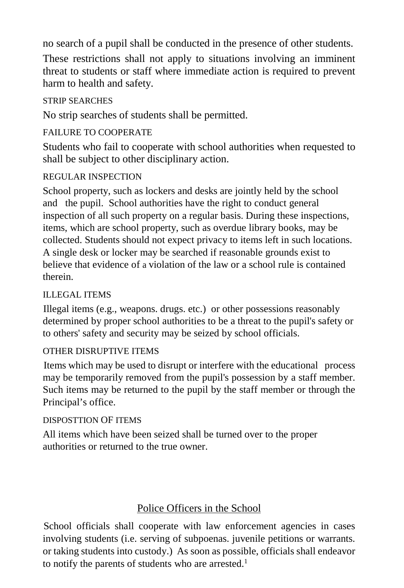no search of a pupil shall be conducted in the presence of other students.

These restrictions shall not apply to situations involving an imminent threat to students or staff where immediate action is required to prevent harm to health and safety.

## STRIP SEARCHES

No strip searches of students shall be permitted.

## FAILURE TO COOPERATE

Students who fail to cooperate with school authorities when requested to shall be subject to other disciplinary action.

## REGULAR INSPECTION

School property, such as lockers and desks are jointly held by the school and the pupil. School authorities have the right to conduct general inspection of all such property on a regular basis. During these inspections, items, which are school property, such as overdue library books, may be collected. Students should not expect privacy to items left in such locations. A single desk or locker may be searched if reasonable grounds exist to believe that evidence of a violation of the law or a school rule is contained therein.

## ILLEGAL ITEMS

Illegal items (e.g., weapons. drugs. etc.) or other possessions reasonably determined by proper school authorities to be a threat to the pupil's safety or to others' safety and security may be seized by school officials.

## OTHER DISRUPTIVE ITEMS

Items which may be used to disrupt or interfere with the educational process may be temporarily removed from the pupil's possession by a staff member. Such items may be returned to the pupil by the staff member or through the Principal's office.

#### DISPOSTTION OF ITEMS

All items which have been seized shall be turned over to the proper authorities or returned to the true owner.

## Police Officers in the School

School officials shall cooperate with law enforcement agencies in cases involving students (i.e. serving of subpoenas. juvenile petitions or warrants. or taking students into custody.) As soon as possible, officials shall endeavor to notify the parents of students who are arrested.<sup>1</sup>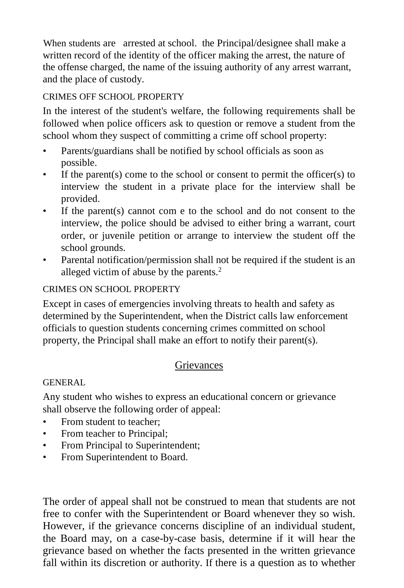When students are arrested at school. the Principal/designee shall make a written record of the identity of the officer making the arrest, the nature of the offense charged, the name of the issuing authority of any arrest warrant, and the place of custody.

## CRIMES OFF SCHOOL PROPERTY

In the interest of the student's welfare, the following requirements shall be followed when police officers ask to question or remove a student from the school whom they suspect of committing a crime off school property:

- Parents/guardians shall be notified by school officials as soon as possible.
- If the parent(s) come to the school or consent to permit the officer(s) to interview the student in a private place for the interview shall be provided.
- If the parent(s) cannot com e to the school and do not consent to the interview, the police should be advised to either bring a warrant, court order, or juvenile petition or arrange to interview the student off the school grounds.
- Parental notification/permission shall not be required if the student is an alleged victim of abuse by the parents. 2

## CRIMES ON SCHOOL PROPERTY

Except in cases of emergencies involving threats to health and safety as determined by the Superintendent, when the District calls law enforcement officials to question students concerning crimes committed on school property, the Principal shall make an effort to notify their parent(s).

## **Grievances**

## GENERAL

Any student who wishes to express an educational concern or grievance shall observe the following order of appeal:

- From student to teacher:
- From teacher to Principal;
- From Principal to Superintendent;
- From Superintendent to Board.

The order of appeal shall not be construed to mean that students are not free to confer with the Superintendent or Board whenever they so wish. However, if the grievance concerns discipline of an individual student, the Board may, on a case-by-case basis, determine if it will hear the grievance based on whether the facts presented in the written grievance fall within its discretion or authority. If there is a question as to whether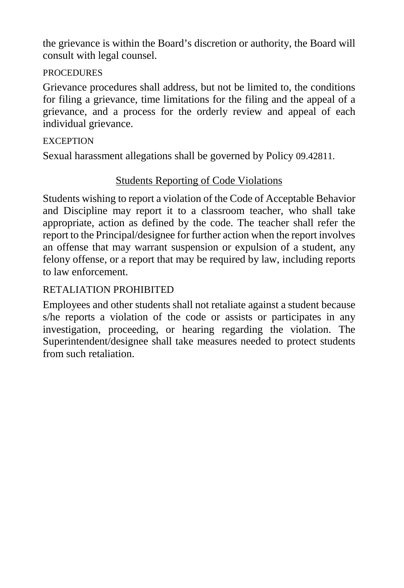the grievance is within the Board's discretion or authority, the Board will consult with legal counsel.

## **PROCEDURES**

Grievance procedures shall address, but not be limited to, the conditions for filing a grievance, time limitations for the filing and the appeal of a grievance, and a process for the orderly review and appeal of each individual grievance.

## **EXCEPTION**

Sexual harassment allegations shall be governed by Policy 09.42811.

## Students Reporting of Code Violations

Students wishing to report a violation of the Code of Acceptable Behavior and Discipline may report it to a classroom teacher, who shall take appropriate, action as defined by the code. The teacher shall refer the report to the Principal/designee for further action when the report involves an offense that may warrant suspension or expulsion of a student, any felony offense, or a report that may be required by law, including reports to law enforcement.

## RETALIATION PROHIBITED

Employees and other students shall not retaliate against a student because s/he reports a violation of the code or assists or participates in any investigation, proceeding, or hearing regarding the violation. The Superintendent/designee shall take measures needed to protect students from such retaliation.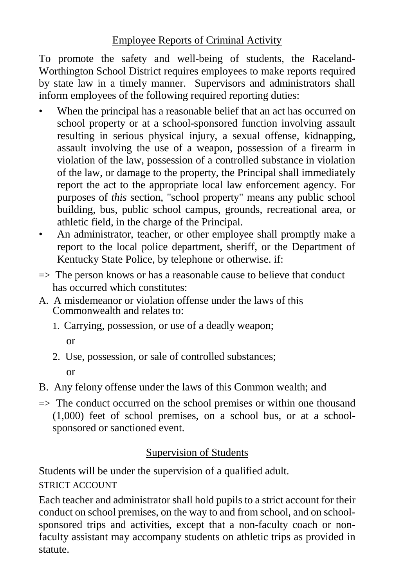## Employee Reports of Criminal Activity

To promote the safety and well-being of students, the Raceland-Worthington School District requires employees to make reports required by state law in a timely manner. Supervisors and administrators shall inform employees of the following required reporting duties:

- When the principal has a reasonable belief that an act has occurred on school property or at a school-sponsored function involving assault resulting in serious physical injury, a sexual offense, kidnapping, assault involving the use of a weapon, possession of a firearm in violation of the law, possession of a controlled substance in violation of the law, or damage to the property, the Principal shall immediately report the act to the appropriate local law enforcement agency. For purposes of *this* section, "school property" means any public school building, bus, public school campus, grounds, recreational area, or athletic field, in the charge of the Principal.
- An administrator, teacher, or other employee shall promptly make a report to the local police department, sheriff, or the Department of Kentucky State Police, by telephone or otherwise. if:
- $\Rightarrow$  The person knows or has a reasonable cause to believe that conduct has occurred which constitutes:
- A. A misdemeanor or violation offense under the laws of this Commonwealth and relates to:
	- 1. Carrying, possession, or use of a deadly weapon;

or

- 2. Use, possession, or sale of controlled substances; or
- B. Any felony offense under the laws of this Common wealth; and
- $\Rightarrow$  The conduct occurred on the school premises or within one thousand (1,000) feet of school premises, on a school bus, or at a schoolsponsored or sanctioned event.

## Supervision of Students

Students will be under the supervision of a qualified adult.

STRICT ACCOUNT

Each teacher and administrator shall hold pupils to a strict account for their conduct on school premises, on the way to and from school, and on schoolsponsored trips and activities, except that a non-faculty coach or nonfaculty assistant may accompany students on athletic trips as provided in statute.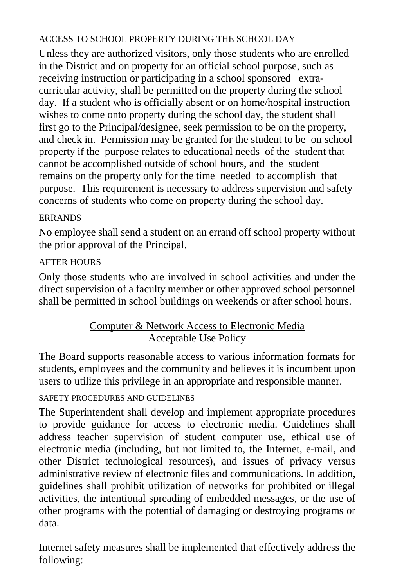## ACCESS TO SCHOOL PROPERTY DURING THE SCHOOL DAY

Unless they are authorized visitors, only those students who are enrolled in the District and on property for an official school purpose, such as receiving instruction or participating in a school sponsored extracurricular activity, shall be permitted on the property during the school day. If a student who is officially absent or on home/hospital instruction wishes to come onto property during the school day, the student shall first go to the Principal/designee, seek permission to be on the property, and check in. Permission may be granted for the student to be on school property if the purpose relates to educational needs of the student that cannot be accomplished outside of school hours, and the student remains on the property only for the time needed to accomplish that purpose. This requirement is necessary to address supervision and safety concerns of students who come on property during the school day.

## ERRANDS

No employee shall send a student on an errand off school property without the prior approval of the Principal.

## AFTER HOURS

Only those students who are involved in school activities and under the direct supervision of a faculty member or other approved school personnel shall be permitted in school buildings on weekends or after school hours.

## Computer & Network Access to Electronic Media Acceptable Use Policy

The Board supports reasonable access to various information formats for students, employees and the community and believes it is incumbent upon users to utilize this privilege in an appropriate and responsible manner.

## SAFETY PROCEDURES AND GUIDELINES

The Superintendent shall develop and implement appropriate procedures to provide guidance for access to electronic media. Guidelines shall address teacher supervision of student computer use, ethical use of electronic media (including, but not limited to, the Internet, e-mail, and other District technological resources), and issues of privacy versus administrative review of electronic files and communications. In addition, guidelines shall prohibit utilization of networks for prohibited or illegal activities, the intentional spreading of embedded messages, or the use of other programs with the potential of damaging or destroying programs or data.

Internet safety measures shall be implemented that effectively address the following: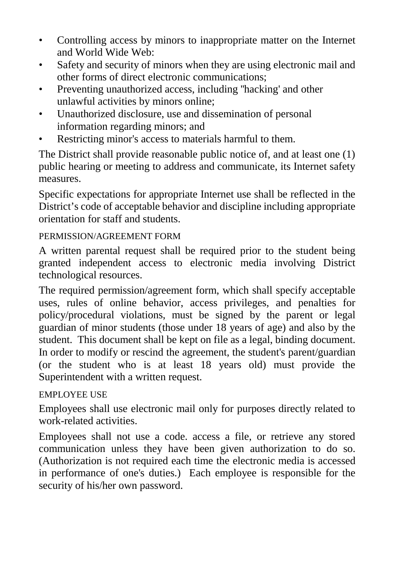- Controlling access by minors to inappropriate matter on the Internet and World Wide Web:
- Safety and security of minors when they are using electronic mail and other forms of direct electronic communications;
- Preventing unauthorized access, including ''hacking' and other unlawful activities by minors online;
- Unauthorized disclosure, use and dissemination of personal information regarding minors; and
- Restricting minor's access to materials harmful to them.

The District shall provide reasonable public notice of, and at least one (1) public hearing or meeting to address and communicate, its Internet safety measures.

Specific expectations for appropriate Internet use shall be reflected in the District's code of acceptable behavior and discipline including appropriate orientation for staff and students.

## PERMISSION/AGREEMENT FORM

A written parental request shall be required prior to the student being granted independent access to electronic media involving District technological resources.

The required permission/agreement form, which shall specify acceptable uses, rules of online behavior, access privileges, and penalties for policy/procedural violations, must be signed by the parent or legal guardian of minor students (those under 18 years of age) and also by the student. This document shall be kept on file as a legal, binding document. In order to modify or rescind the agreement, the student's parent/guardian (or the student who is at least 18 years old) must provide the Superintendent with a written request.

## EMPLOYEE USE

Employees shall use electronic mail only for purposes directly related to work-related activities.

Employees shall not use a code. access a file, or retrieve any stored communication unless they have been given authorization to do so. (Authorization is not required each time the electronic media is accessed in performance of one's duties.) Each employee is responsible for the security of his/her own password.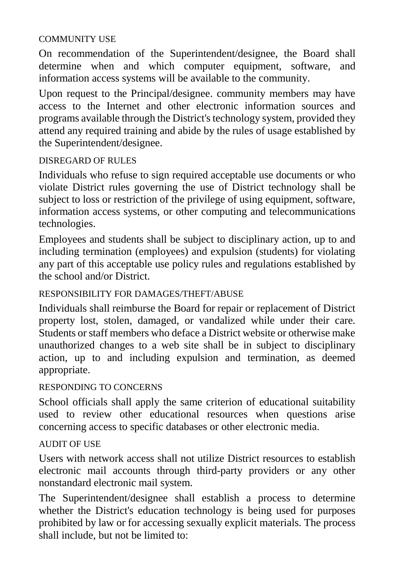#### COMMUNITY USE

On recommendation of the Superintendent/designee, the Board shall determine when and which computer equipment, software, and information access systems will be available to the community.

Upon request to the Principal/designee. community members may have access to the Internet and other electronic information sources and programs available through the District's technology system, provided they attend any required training and abide by the rules of usage established by the Superintendent/designee.

## DISREGARD OF RULES

Individuals who refuse to sign required acceptable use documents or who violate District rules governing the use of District technology shall be subject to loss or restriction of the privilege of using equipment, software, information access systems, or other computing and telecommunications technologies.

Employees and students shall be subject to disciplinary action, up to and including termination (employees) and expulsion (students) for violating any part of this acceptable use policy rules and regulations established by the school and/or District.

## RESPONSIBILITY FOR DAMAGES/THEFT/ABUSE

Individuals shall reimburse the Board for repair or replacement of District property lost, stolen, damaged, or vandalized while under their care. Students or staff members who deface a District website or otherwise make unauthorized changes to a web site shall be in subject to disciplinary action, up to and including expulsion and termination, as deemed appropriate.

## RESPONDING TO CONCERNS

School officials shall apply the same criterion of educational suitability used to review other educational resources when questions arise concerning access to specific databases or other electronic media.

## AUDIT OF USE

Users with network access shall not utilize District resources to establish electronic mail accounts through third-party providers or any other nonstandard electronic mail system.

The Superintendent/designee shall establish a process to determine whether the District's education technology is being used for purposes prohibited by law or for accessing sexually explicit materials. The process shall include, but not be limited to: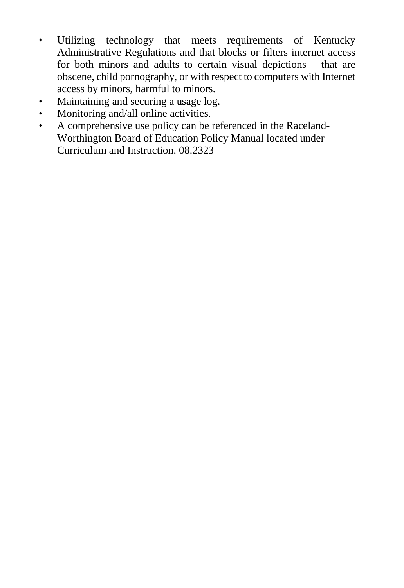- Utilizing technology that meets requirements of Kentucky Administrative Regulations and that blocks or filters internet access for both minors and adults to certain visual depictions that are obscene, child pornography, or with respect to computers with Internet access by minors, harmful to minors.
- Maintaining and securing a usage log.
- Monitoring and/all online activities.
- A comprehensive use policy can be referenced in the Raceland-Worthington Board of Education Policy Manual located under Curriculum and Instruction. 08.2323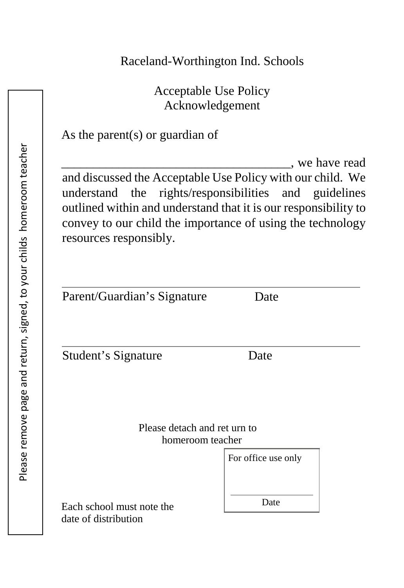# Raceland-Worthington Ind. Schools

Acceptable Use Policy Acknowledgement

# As the parent(s) or guardian of

\_\_\_\_\_\_\_\_\_\_\_\_\_\_\_\_\_\_\_\_\_\_\_\_\_\_\_\_\_\_\_\_\_\_\_\_, we have read and discussed the Acceptable Use Policy with our child. We understand the rights/responsibilities and guidelines outlined within and understand that it is our responsibility to convey to our child the importance of using the technology resources responsibly.

| Parent/Guardian's Signature  | Date                |
|------------------------------|---------------------|
| Student's Signature          | Date                |
|                              |                     |
| Please detach and ret urn to |                     |
| homeroom teacher             |                     |
|                              | For office use only |
|                              |                     |
| Each school must note the    | Date                |

date of distribution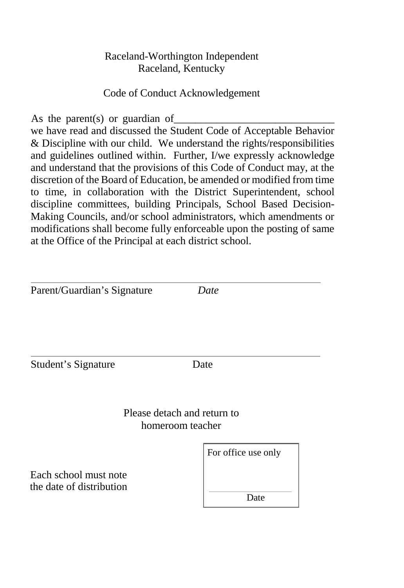## Raceland-Worthington Independent Raceland, Kentucky

## Code of Conduct Acknowledgement

As the parent(s) or guardian of

we have read and discussed the Student Code of Acceptable Behavior & Discipline with our child. We understand the rights/responsibilities and guidelines outlined within. Further, I/we expressly acknowledge and understand that the provisions of this Code of Conduct may, at the discretion of the Board of Education, be amended or modified from time to time, in collaboration with the District Superintendent, school discipline committees, building Principals, School Based Decision-Making Councils, and/or school administrators, which amendments or modifications shall become fully enforceable upon the posting of same at the Office of the Principal at each district school.

Parent/Guardian's Signature *Date* Student's Signature Date Please detach and return to homeroom teacher For office use only Each school must note the date of distribution Date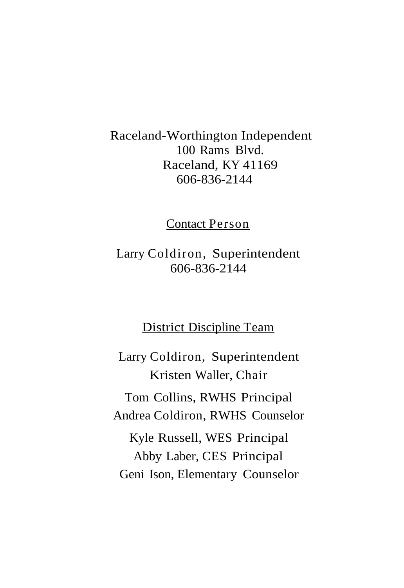# Raceland-Worthington Independent 100 Rams Blvd. Raceland, KY 41169 606-836-2144

Contact Person

Larry Coldiron, Superintendent 606-836-2144

## District Discipline Team

Larry Coldiron, Superintendent Kristen Waller, Chair Tom Collins, RWHS Principal Andrea Coldiron, RWHS Counselor Kyle Russell, WES Principal Abby Laber, CES Principal Geni Ison, Elementary Counselor